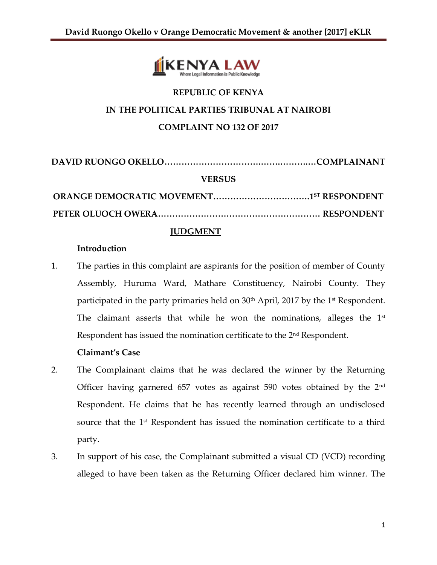

# **REPUBLIC OF KENYA IN THE POLITICAL PARTIES TRIBUNAL AT NAIROBI COMPLAINT NO 132 OF 2017**

**DAVID RUONGO OKELLO…………………………….…….……….…COMPLAINANT VERSUS ORANGE DEMOCRATIC MOVEMENT…………………………….1 ST RESPONDENT PETER OLUOCH OWERA………………………………………………… RESPONDENT**

### **JUDGMENT**

#### **Introduction**

1. The parties in this complaint are aspirants for the position of member of County Assembly, Huruma Ward, Mathare Constituency, Nairobi County. They participated in the party primaries held on 30<sup>th</sup> April, 2017 by the 1<sup>st</sup> Respondent. The claimant asserts that while he won the nominations, alleges the  $1<sup>st</sup>$ Respondent has issued the nomination certificate to the 2<sup>nd</sup> Respondent.

#### **Claimant's Case**

- 2. The Complainant claims that he was declared the winner by the Returning Officer having garnered 657 votes as against 590 votes obtained by the 2nd Respondent. He claims that he has recently learned through an undisclosed source that the 1<sup>st</sup> Respondent has issued the nomination certificate to a third party.
- 3. In support of his case, the Complainant submitted a visual CD (VCD) recording alleged to have been taken as the Returning Officer declared him winner. The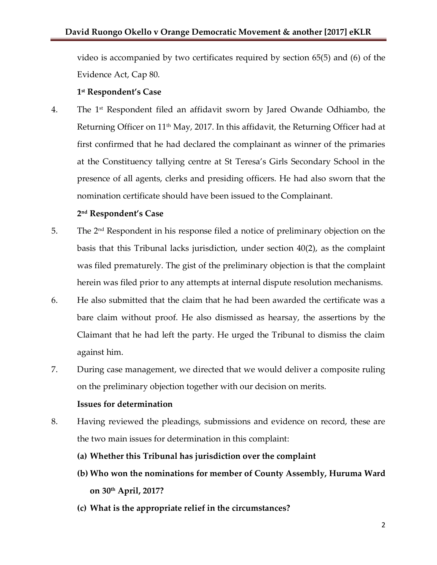video is accompanied by two certificates required by section 65(5) and (6) of the Evidence Act, Cap 80.

# **1 st Respondent's Case**

4. The 1st Respondent filed an affidavit sworn by Jared Owande Odhiambo, the Returning Officer on 11<sup>th</sup> May, 2017. In this affidavit, the Returning Officer had at first confirmed that he had declared the complainant as winner of the primaries at the Constituency tallying centre at St Teresa's Girls Secondary School in the presence of all agents, clerks and presiding officers. He had also sworn that the nomination certificate should have been issued to the Complainant.

# **2 nd Respondent's Case**

- 5. The 2nd Respondent in his response filed a notice of preliminary objection on the basis that this Tribunal lacks jurisdiction, under section 40(2), as the complaint was filed prematurely. The gist of the preliminary objection is that the complaint herein was filed prior to any attempts at internal dispute resolution mechanisms.
- 6. He also submitted that the claim that he had been awarded the certificate was a bare claim without proof. He also dismissed as hearsay, the assertions by the Claimant that he had left the party. He urged the Tribunal to dismiss the claim against him.
- 7. During case management, we directed that we would deliver a composite ruling on the preliminary objection together with our decision on merits.

# **Issues for determination**

- 8. Having reviewed the pleadings, submissions and evidence on record, these are the two main issues for determination in this complaint:
	- **(a) Whether this Tribunal has jurisdiction over the complaint**
	- **(b) Who won the nominations for member of County Assembly, Huruma Ward on 30th April, 2017?**
	- **(c) What is the appropriate relief in the circumstances?**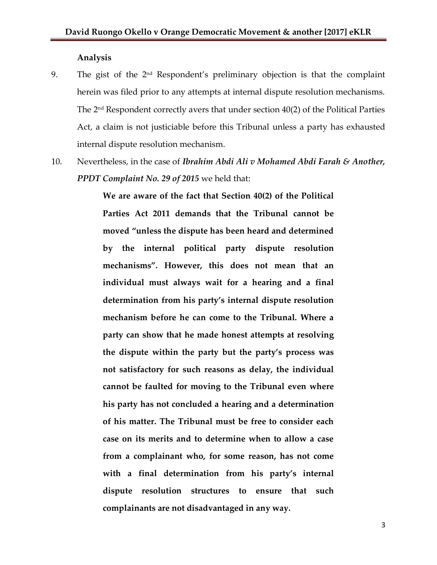#### **Analysis**

- 9. The gist of the  $2<sup>nd</sup>$  Respondent's preliminary objection is that the complaint herein was filed prior to any attempts at internal dispute resolution mechanisms. The 2nd Respondent correctly avers that under section 40(2) of the Political Parties Act, a claim is not justiciable before this Tribunal unless a party has exhausted internal dispute resolution mechanism.
- 10. Nevertheless, in the case of *Ibrahim Abdi Ali v Mohamed Abdi Farah & Another, PPDT Complaint No. 29 of 2015* we held that:

**We are aware of the fact that Section 40(2) of the Political Parties Act 2011 demands that the Tribunal cannot be moved "unless the dispute has been heard and determined by the internal political party dispute resolution mechanisms". However, this does not mean that an individual must always wait for a hearing and a final determination from his party's internal dispute resolution mechanism before he can come to the Tribunal. Where a party can show that he made honest attempts at resolving the dispute within the party but the party's process was not satisfactory for such reasons as delay, the individual cannot be faulted for moving to the Tribunal even where his party has not concluded a hearing and a determination of his matter. The Tribunal must be free to consider each case on its merits and to determine when to allow a case from a complainant who, for some reason, has not come with a final determination from his party's internal dispute resolution structures to ensure that such complainants are not disadvantaged in any way.**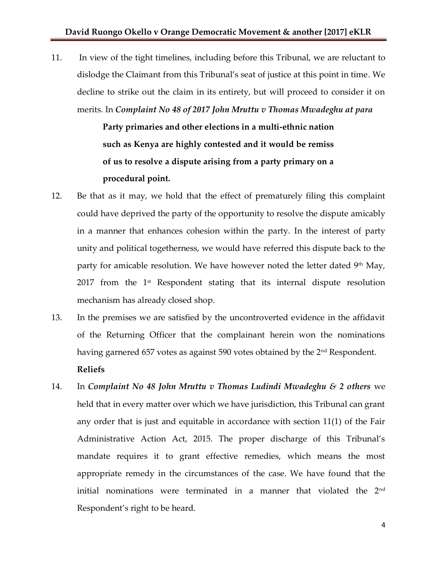11. In view of the tight timelines, including before this Tribunal, we are reluctant to dislodge the Claimant from this Tribunal's seat of justice at this point in time. We decline to strike out the claim in its entirety, but will proceed to consider it on merits. In *Complaint No 48 of 2017 John Mruttu v Thomas Mwadeghu at para* 

> **Party primaries and other elections in a multi-ethnic nation such as Kenya are highly contested and it would be remiss of us to resolve a dispute arising from a party primary on a procedural point.**

- 12. Be that as it may, we hold that the effect of prematurely filing this complaint could have deprived the party of the opportunity to resolve the dispute amicably in a manner that enhances cohesion within the party. In the interest of party unity and political togetherness, we would have referred this dispute back to the party for amicable resolution. We have however noted the letter dated 9<sup>th</sup> May,  $2017$  from the  $1<sup>st</sup>$  Respondent stating that its internal dispute resolution mechanism has already closed shop.
- 13. In the premises we are satisfied by the uncontroverted evidence in the affidavit of the Returning Officer that the complainant herein won the nominations having garnered 657 votes as against 590 votes obtained by the 2<sup>nd</sup> Respondent. **Reliefs**
- 14. In *Complaint No 48 John Mruttu v Thomas Ludindi Mwadeghu & 2 others* we held that in every matter over which we have jurisdiction, this Tribunal can grant any order that is just and equitable in accordance with section 11(1) of the Fair Administrative Action Act, 2015. The proper discharge of this Tribunal's mandate requires it to grant effective remedies, which means the most appropriate remedy in the circumstances of the case. We have found that the initial nominations were terminated in a manner that violated the 2<sup>nd</sup> Respondent's right to be heard.